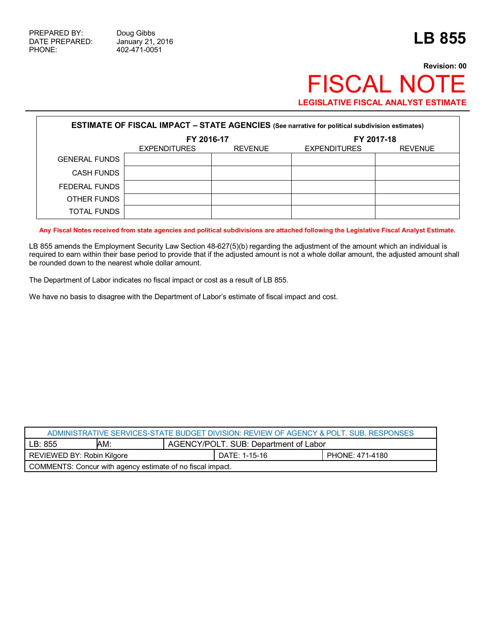## **Revision: 00** FISCAL NOTE **LEGISLATIVE FISCAL ANALYST ESTIMATE**

| <b>ESTIMATE OF FISCAL IMPACT - STATE AGENCIES (See narrative for political subdivision estimates)</b> |                     |                |                     |                |  |  |
|-------------------------------------------------------------------------------------------------------|---------------------|----------------|---------------------|----------------|--|--|
|                                                                                                       | FY 2016-17          |                | FY 2017-18          |                |  |  |
|                                                                                                       | <b>EXPENDITURES</b> | <b>REVENUE</b> | <b>EXPENDITURES</b> | <b>REVENUE</b> |  |  |
| <b>GENERAL FUNDS</b>                                                                                  |                     |                |                     |                |  |  |
| <b>CASH FUNDS</b>                                                                                     |                     |                |                     |                |  |  |
| FEDERAL FUNDS                                                                                         |                     |                |                     |                |  |  |
| OTHER FUNDS                                                                                           |                     |                |                     |                |  |  |
| TOTAL FUNDS                                                                                           |                     |                |                     |                |  |  |

**Any Fiscal Notes received from state agencies and political subdivisions are attached following the Legislative Fiscal Analyst Estimate.**

LB 855 amends the Employment Security Law Section 48-627(5)(b) regarding the adjustment of the amount which an individual is required to earn within their base period to provide that if the adjusted amount is not a whole dollar amount, the adjusted amount shall be rounded down to the nearest whole dollar amount.

The Department of Labor indicates no fiscal impact or cost as a result of LB 855.

We have no basis to disagree with the Department of Labor's estimate of fiscal impact and cost.

| ADMINISTRATIVE SERVICES-STATE BUDGET DIVISION: REVIEW OF AGENCY & POLT. SUB. RESPONSES |     |                                       |                 |  |  |
|----------------------------------------------------------------------------------------|-----|---------------------------------------|-----------------|--|--|
| LB: 855                                                                                | AM: | AGENCY/POLT. SUB: Department of Labor |                 |  |  |
| REVIEWED BY: Robin Kilgore                                                             |     | DATE: 1-15-16                         | PHONE: 471-4180 |  |  |
| COMMENTS: Concur with agency estimate of no fiscal impact.                             |     |                                       |                 |  |  |